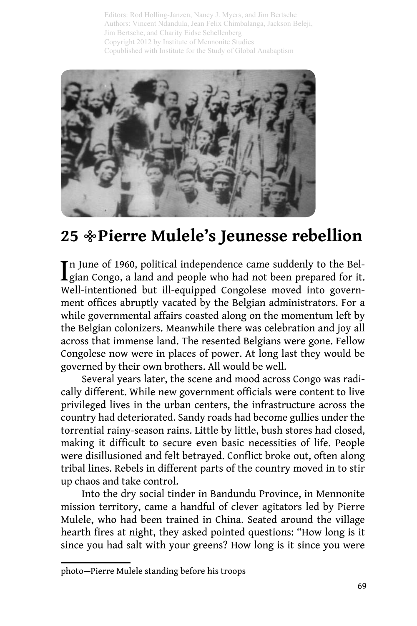Editors: Rod Holling-Janzen, Nancy J. Myers, and Jim Bertsche Authors: Vincent Ndandula, Jean Felix Chimbalanga, Jackson Beleji, Jim Bertsche, and Charity Eidse Schellenberg Copyright 2012 by Institute of Mennonite Studies Copublished with Institute for the Study of Global Anabaptism



## **Pierre Mulele's Jeunesse rebellion**<sup>3</sup> **25**

In June of 1960, political independence came suddenly to the Bel-<br>gian Congo, a land and people who had not been prepared for it.  $\mathbf I$  gian Congo, a land and people who had not been prepared for it. Well-intentioned but ill-equipped Congolese moved into government offices abruptly vacated by the Belgian administrators. For a while governmental affairs coasted along on the momentum left by the Belgian colonizers. Meanwhile there was celebration and joy all across that immense land. The resented Belgians were gone. Fellow Congolese now were in places of power. At long last they would be governed by their own brothers. All would be well.

Several years later, the scene and mood across Congo was radically different. While new government officials were content to live privileged lives in the urban centers, the infrastructure across the country had deteriorated. Sandy roads had become gullies under the torrential rainy-season rains. Little by little, bush stores had closed, making it difficult to secure even basic necessities of life. People were disillusioned and felt betrayed. Conflict broke out, often along tribal lines. Rebels in different parts of the country moved in to stir up chaos and take control.

Into the dry social tinder in Bandundu Province, in Mennonite mission territory, came a handful of clever agitators led by Pierre Mulele, who had been trained in China. Seated around the village hearth fires at night, they asked pointed questions: "How long is it since you had salt with your greens? How long is it since you were

photo—Pierre Mulele standing before his troops